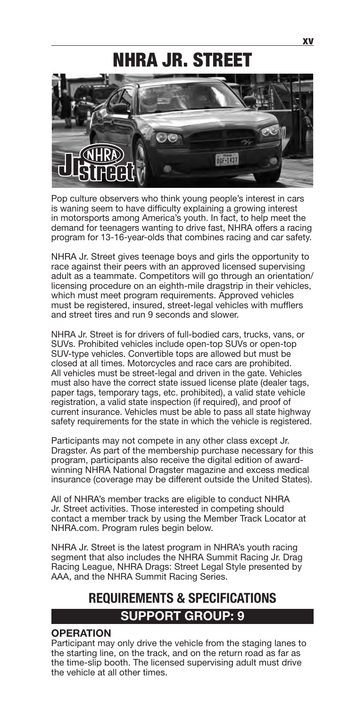# NHRA JR. STREET



Pop culture observers who think young people's interest in cars is waning seem to have difficulty explaining a growing interest in motorsports among America's youth. In fact, to help meet the demand for teenagers wanting to drive fast, NHRA offers a racing program for 13-16-year-olds that combines racing and car safety.

NHRA Jr. Street gives teenage boys and girls the opportunity to race against their peers with an approved licensed supervising adult as a teammate. Competitors will go through an orientation/ licensing procedure on an eighth-mile dragstrip in their vehicles, which must meet program requirements. Approved vehicles must be registered, insured, street-legal vehicles with mufflers and street tires and run 9 seconds and slower.

NHRA Jr. Street is for drivers of full-bodied cars, trucks, vans, or SUVs. Prohibited vehicles include open-top SUVs or open-top SUV-type vehicles. Convertible tops are allowed but must be closed at all times. Motorcycles and race cars are prohibited. All vehicles must be street-legal and driven in the gate. Vehicles must also have the correct state issued license plate (dealer tags, paper tags, temporary tags, etc. prohibited), a valid state vehicle registration, a valid state inspection (if required), and proof of current insurance. Vehicles must be able to pass all state highway safety requirements for the state in which the vehicle is registered.

Participants may not compete in any other class except Jr. Dragster. As part of the membership purchase necessary for this program, participants also receive the digital edition of awardwinning NHRA National Dragster magazine and excess medical insurance (coverage may be different outside the United States).

All of NHRA's member tracks are eligible to conduct NHRA Jr. Street activities. Those interested in competing should contact a member track by using the Member Track Locator at NHRA.com. Program rules begin below.

NHRA Jr. Street is the latest program in NHRA's youth racing segment that also includes the NHRA Summit Racing Jr. Drag Racing League, NHRA Drags: Street Legal Style presented by AAA, and the NHRA Summit Racing Series.

## **REQUIREMENTS & SPECIFICATIONS SUPPORT GROUP: 9**

#### **OPERATION**

Participant may only drive the vehicle from the staging lanes to the starting line, on the track, and on the return road as far as the time-slip booth. The licensed supervising adult must drive the vehicle at all other times.